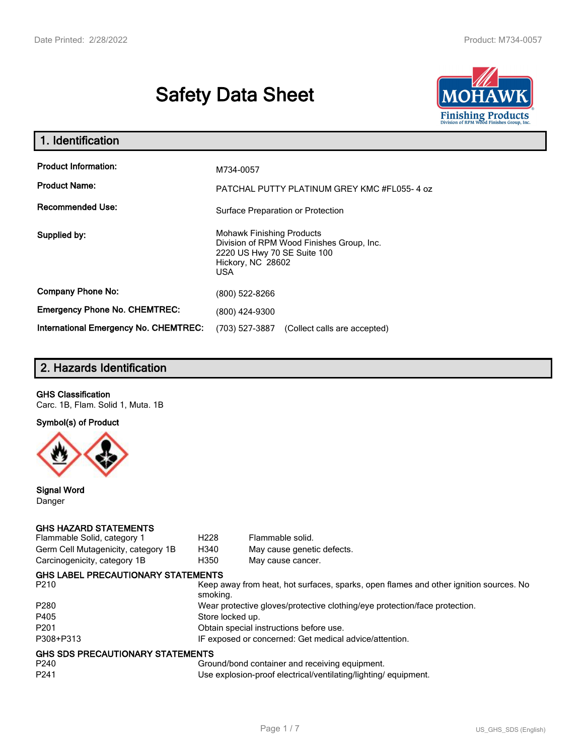# **Safety Data Sheet**



| 1. Identification                                   |                                                                                                                                                 |
|-----------------------------------------------------|-------------------------------------------------------------------------------------------------------------------------------------------------|
| <b>Product Information:</b><br><b>Product Name:</b> | M734-0057<br>PATCHAL PUTTY PLATINUM GREY KMC #FL055-4 oz                                                                                        |
| <b>Recommended Use:</b>                             | Surface Preparation or Protection                                                                                                               |
| Supplied by:                                        | <b>Mohawk Finishing Products</b><br>Division of RPM Wood Finishes Group, Inc.<br>2220 US Hwy 70 SE Suite 100<br>Hickory, NC 28602<br><b>USA</b> |
| <b>Company Phone No:</b>                            | (800) 522-8266                                                                                                                                  |
| <b>Emergency Phone No. CHEMTREC:</b>                | (800) 424-9300                                                                                                                                  |
| <b>International Emergency No. CHEMTREC:</b>        | (703) 527-3887<br>(Collect calls are accepted)                                                                                                  |

# **2. Hazards Identification**

#### **GHS Classification**

Carc. 1B, Flam. Solid 1, Muta. 1B

**Symbol(s) of Product**



**Signal Word** Danger

#### **GHS HAZARD STATEMENTS**

| Flammable Solid, category 1         | H <sub>228</sub>                                                           | Flammable solid.                                                                      |  |
|-------------------------------------|----------------------------------------------------------------------------|---------------------------------------------------------------------------------------|--|
| Germ Cell Mutagenicity, category 1B | H340                                                                       | May cause genetic defects.                                                            |  |
| Carcinogenicity, category 1B        | H350                                                                       | May cause cancer.                                                                     |  |
| GHS LABEL PRECAUTIONARY STATEMENTS  |                                                                            |                                                                                       |  |
| P210                                | smoking.                                                                   | Keep away from heat, hot surfaces, sparks, open flames and other ignition sources. No |  |
| P280                                | Wear protective gloves/protective clothing/eye protection/face protection. |                                                                                       |  |
| P405                                | Store locked up.                                                           |                                                                                       |  |
| P201                                |                                                                            | Obtain special instructions before use.                                               |  |
| P308+P313                           |                                                                            | IF exposed or concerned: Get medical advice/attention.                                |  |
| GHS SDS PRECAUTIONARY STATEMENTS    |                                                                            |                                                                                       |  |
| P240                                |                                                                            | Ground/bond container and receiving equipment.                                        |  |
| P241                                |                                                                            | Use explosion-proof electrical/ventilating/lighting/equipment.                        |  |
|                                     |                                                                            |                                                                                       |  |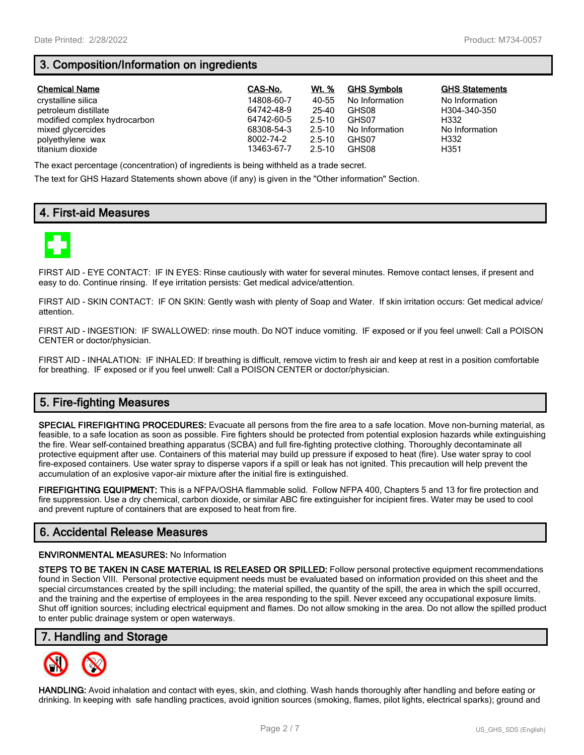# **3. Composition/Information on ingredients**

| <b>Chemical Name</b>         | CAS-No.    | Wt. %      | <b>GHS Symbols</b> | <b>GHS Statements</b> |
|------------------------------|------------|------------|--------------------|-----------------------|
| crystalline silica           | 14808-60-7 | 40-55      | No Information     | No Information        |
| petroleum distillate         | 64742-48-9 | 25-40      | GHS08              | H304-340-350          |
| modified complex hydrocarbon | 64742-60-5 | $2.5 - 10$ | GHS07              | H332                  |
| mixed glycercides            | 68308-54-3 | $2.5 - 10$ | No Information     | No Information        |
| polyethylene wax             | 8002-74-2  | $2.5 - 10$ | GHS07              | H332                  |
| titanium dioxide             | 13463-67-7 | $2.5 - 10$ | GHS08              | H351                  |

The exact percentage (concentration) of ingredients is being withheld as a trade secret.

The text for GHS Hazard Statements shown above (if any) is given in the "Other information" Section.

## **4. First-aid Measures**



FIRST AID - EYE CONTACT: IF IN EYES: Rinse cautiously with water for several minutes. Remove contact lenses, if present and easy to do. Continue rinsing. If eye irritation persists: Get medical advice/attention.

FIRST AID - SKIN CONTACT: IF ON SKIN: Gently wash with plenty of Soap and Water. If skin irritation occurs: Get medical advice/ attention.

FIRST AID - INGESTION: IF SWALLOWED: rinse mouth. Do NOT induce vomiting. IF exposed or if you feel unwell: Call a POISON CENTER or doctor/physician.

FIRST AID - INHALATION: IF INHALED: If breathing is difficult, remove victim to fresh air and keep at rest in a position comfortable for breathing. IF exposed or if you feel unwell: Call a POISON CENTER or doctor/physician.

## **5. Fire-fighting Measures**

**SPECIAL FIREFIGHTING PROCEDURES:** Evacuate all persons from the fire area to a safe location. Move non-burning material, as feasible, to a safe location as soon as possible. Fire fighters should be protected from potential explosion hazards while extinguishing the fire. Wear self-contained breathing apparatus (SCBA) and full fire-fighting protective clothing. Thoroughly decontaminate all protective equipment after use. Containers of this material may build up pressure if exposed to heat (fire). Use water spray to cool fire-exposed containers. Use water spray to disperse vapors if a spill or leak has not ignited. This precaution will help prevent the accumulation of an explosive vapor-air mixture after the initial fire is extinguished.

**FIREFIGHTING EQUIPMENT:** This is a NFPA/OSHA flammable solid. Follow NFPA 400, Chapters 5 and 13 for fire protection and fire suppression. Use a dry chemical, carbon dioxide, or similar ABC fire extinguisher for incipient fires. Water may be used to cool and prevent rupture of containers that are exposed to heat from fire.

## **6. Accidental Release Measures**

#### **ENVIRONMENTAL MEASURES:** No Information

**STEPS TO BE TAKEN IN CASE MATERIAL IS RELEASED OR SPILLED:** Follow personal protective equipment recommendations found in Section VIII. Personal protective equipment needs must be evaluated based on information provided on this sheet and the special circumstances created by the spill including; the material spilled, the quantity of the spill, the area in which the spill occurred, and the training and the expertise of employees in the area responding to the spill. Never exceed any occupational exposure limits. Shut off ignition sources; including electrical equipment and flames. Do not allow smoking in the area. Do not allow the spilled product to enter public drainage system or open waterways.

## **7. Handling and Storage**



**HANDLING:** Avoid inhalation and contact with eyes, skin, and clothing. Wash hands thoroughly after handling and before eating or drinking. In keeping with safe handling practices, avoid ignition sources (smoking, flames, pilot lights, electrical sparks); ground and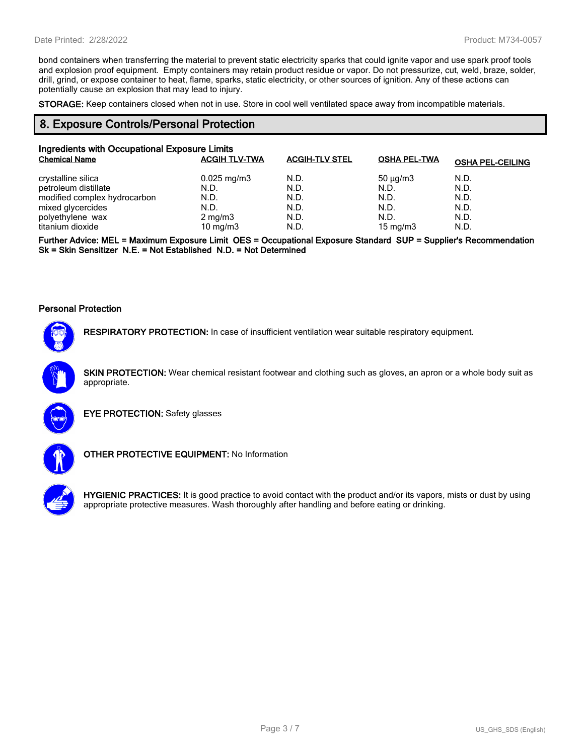bond containers when transferring the material to prevent static electricity sparks that could ignite vapor and use spark proof tools and explosion proof equipment. Empty containers may retain product residue or vapor. Do not pressurize, cut, weld, braze, solder, drill, grind, or expose container to heat, flame, sparks, static electricity, or other sources of ignition. Any of these actions can potentially cause an explosion that may lead to injury.

**STORAGE:** Keep containers closed when not in use. Store in cool well ventilated space away from incompatible materials.

#### **8. Exposure Controls/Personal Protection**

| Ingredients with Occupational Exposure Limits |                         |                       |                     |                         |
|-----------------------------------------------|-------------------------|-----------------------|---------------------|-------------------------|
| <b>Chemical Name</b>                          | <b>ACGIH TLV-TWA</b>    | <b>ACGIH-TLV STEL</b> | <b>OSHA PEL-TWA</b> | <b>OSHA PEL-CEILING</b> |
| crystalline silica                            | $0.025 \,\mathrm{mg/m}$ | N.D.                  | $50 \mu q/m3$       | N.D.                    |
| petroleum distillate                          | N.D.                    | N.D.                  | N.D.                | N.D.                    |
| modified complex hydrocarbon                  | N.D.                    | N.D.                  | N.D.                | N.D.                    |
| mixed glycercides                             | N.D.                    | N.D.                  | N.D.                | N.D.                    |
| polyethylene wax                              | $2 \text{ mg/m}$ 3      | N.D.                  | N.D.                | N.D.                    |
| titanium dioxide                              | 10 mg/m $3$             | N.D.                  | 15 mg/m $3$         | N.D.                    |

**Further Advice: MEL = Maximum Exposure Limit OES = Occupational Exposure Standard SUP = Supplier's Recommendation Sk = Skin Sensitizer N.E. = Not Established N.D. = Not Determined**

#### **Personal Protection**



**RESPIRATORY PROTECTION:** In case of insufficient ventilation wear suitable respiratory equipment.

**SKIN PROTECTION:** Wear chemical resistant footwear and clothing such as gloves, an apron or a whole body suit as appropriate.



**EYE PROTECTION:** Safety glasses



**OTHER PROTECTIVE EQUIPMENT:** No Information



**HYGIENIC PRACTICES:** It is good practice to avoid contact with the product and/or its vapors, mists or dust by using appropriate protective measures. Wash thoroughly after handling and before eating or drinking.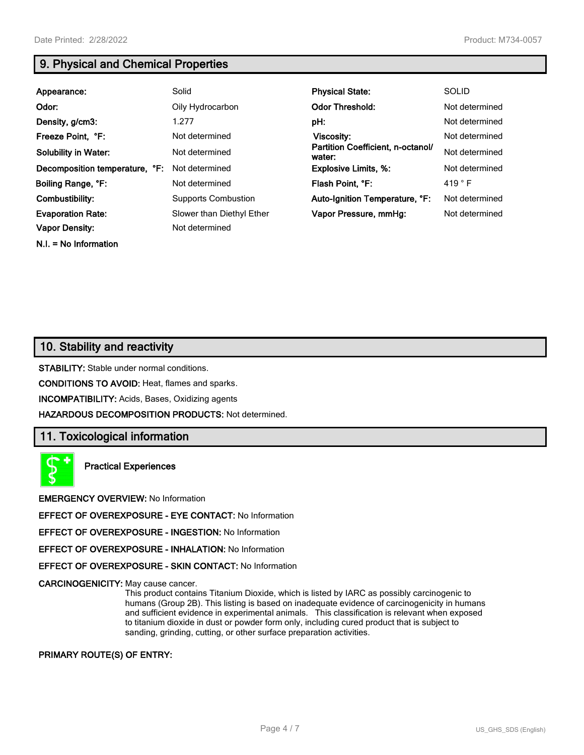**N.I. = No Information**

# **9. Physical and Chemical Properties**

| Appearance:                    | Solid                      | <b>Physical State:</b>                      | <b>SOLID</b>    |
|--------------------------------|----------------------------|---------------------------------------------|-----------------|
| Odor:                          | Oily Hydrocarbon           | <b>Odor Threshold:</b>                      | Not determined  |
| Density, g/cm3:                | 1.277                      | pH:                                         | Not determined  |
| Freeze Point, °F:              | Not determined             | <b>Viscosity:</b>                           | Not determined  |
| <b>Solubility in Water:</b>    | Not determined             | Partition Coefficient, n-octanol/<br>water: | Not determined  |
| Decomposition temperature, °F: | Not determined             | <b>Explosive Limits, %:</b>                 | Not determined  |
| Boiling Range, °F:             | Not determined             | Flash Point, °F:                            | 419 $\degree$ F |
| Combustibility:                | <b>Supports Combustion</b> | Auto-Ignition Temperature, °F:              | Not determined  |
| <b>Evaporation Rate:</b>       | Slower than Diethyl Ether  | Vapor Pressure, mmHg:                       | Not determined  |
| <b>Vapor Density:</b>          | Not determined             |                                             |                 |

## **10. Stability and reactivity**

**STABILITY:** Stable under normal conditions.

**CONDITIONS TO AVOID:** Heat, flames and sparks.

**INCOMPATIBILITY:** Acids, Bases, Oxidizing agents

**HAZARDOUS DECOMPOSITION PRODUCTS:** Not determined.

## **11. Toxicological information**

**Practical Experiences**

**EMERGENCY OVERVIEW:** No Information

**EFFECT OF OVEREXPOSURE - EYE CONTACT:** No Information

**EFFECT OF OVEREXPOSURE - INGESTION:** No Information

**EFFECT OF OVEREXPOSURE - INHALATION:** No Information

**EFFECT OF OVEREXPOSURE - SKIN CONTACT:** No Information

**CARCINOGENICITY:** May cause cancer.

This product contains Titanium Dioxide, which is listed by IARC as possibly carcinogenic to humans (Group 2B). This listing is based on inadequate evidence of carcinogenicity in humans and sufficient evidence in experimental animals. This classification is relevant when exposed to titanium dioxide in dust or powder form only, including cured product that is subject to sanding, grinding, cutting, or other surface preparation activities.

#### **PRIMARY ROUTE(S) OF ENTRY:**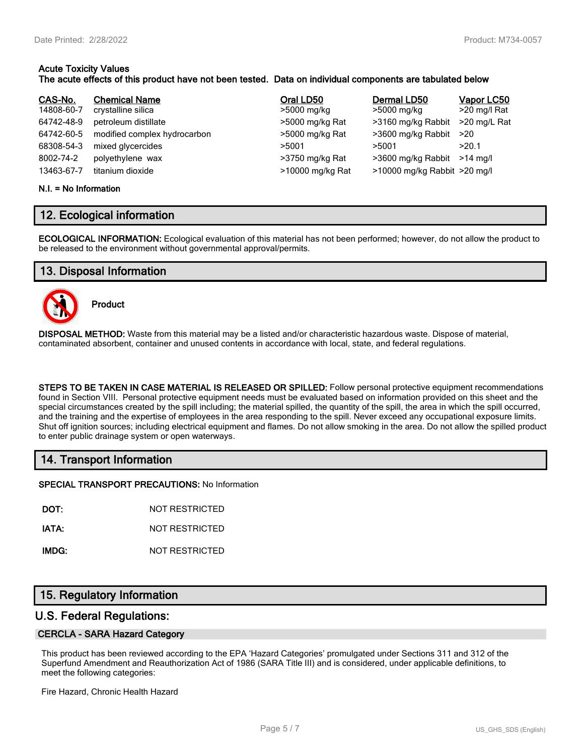#### **Acute Toxicity Values The acute effects of this product have not been tested. Data on individual components are tabulated below**

| CAS-No.    | <b>Chemical Name</b>         | Oral LD50        | Dermal LD50                  | Vapor LC50   |
|------------|------------------------------|------------------|------------------------------|--------------|
| 14808-60-7 | crystalline silica           | >5000 mg/kg      | >5000 mg/kg                  | >20 mg/l Rat |
| 64742-48-9 | petroleum distillate         | >5000 mg/kg Rat  | >3160 mg/kg Rabbit           | >20 mg/L Rat |
| 64742-60-5 | modified complex hydrocarbon | >5000 mg/kg Rat  | >3600 mg/kg Rabbit           | >20          |
| 68308-54-3 | mixed glycercides            | >5001            | >5001                        | >20.1        |
| 8002-74-2  | polyethylene wax             | >3750 mg/kg Rat  | >3600 mg/kg Rabbit           | $>14$ ma/l   |
| 13463-67-7 | titanium dioxide             | >10000 mg/kg Rat | >10000 mg/kg Rabbit >20 mg/l |              |

#### **N.I. = No Information**

## **12. Ecological information**

**ECOLOGICAL INFORMATION:** Ecological evaluation of this material has not been performed; however, do not allow the product to be released to the environment without governmental approval/permits.

## **13. Disposal Information**



**Product**

**DISPOSAL METHOD:** Waste from this material may be a listed and/or characteristic hazardous waste. Dispose of material, contaminated absorbent, container and unused contents in accordance with local, state, and federal regulations.

**STEPS TO BE TAKEN IN CASE MATERIAL IS RELEASED OR SPILLED:** Follow personal protective equipment recommendations found in Section VIII. Personal protective equipment needs must be evaluated based on information provided on this sheet and the special circumstances created by the spill including; the material spilled, the quantity of the spill, the area in which the spill occurred, and the training and the expertise of employees in the area responding to the spill. Never exceed any occupational exposure limits. Shut off ignition sources; including electrical equipment and flames. Do not allow smoking in the area. Do not allow the spilled product to enter public drainage system or open waterways.

## **14. Transport Information**

**SPECIAL TRANSPORT PRECAUTIONS:** No Information

**DOT:** NOT RESTRICTED

**IATA:** NOT RESTRICTED

**IMDG:** NOT RESTRICTED

## **15. Regulatory Information**

## **U.S. Federal Regulations:**

#### **CERCLA - SARA Hazard Category**

This product has been reviewed according to the EPA 'Hazard Categories' promulgated under Sections 311 and 312 of the Superfund Amendment and Reauthorization Act of 1986 (SARA Title III) and is considered, under applicable definitions, to meet the following categories:

Fire Hazard, Chronic Health Hazard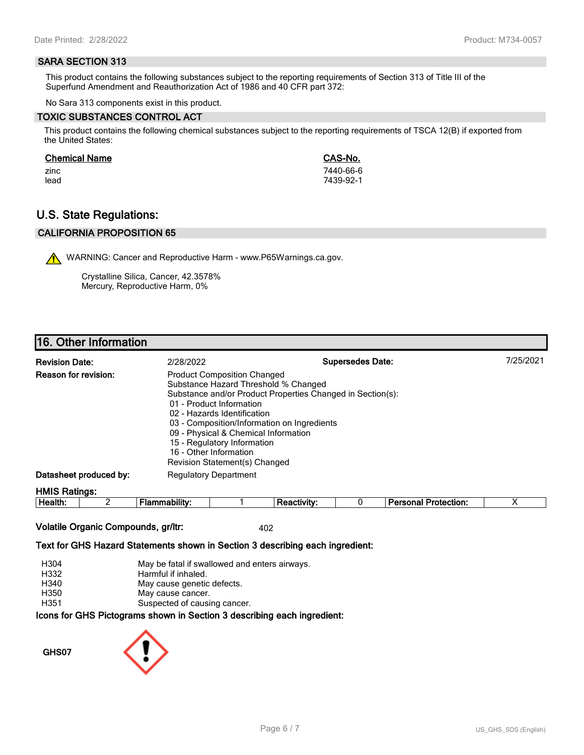#### **SARA SECTION 313**

This product contains the following substances subject to the reporting requirements of Section 313 of Title III of the Superfund Amendment and Reauthorization Act of 1986 and 40 CFR part 372:

No Sara 313 components exist in this product.

#### **TOXIC SUBSTANCES CONTROL ACT**

This product contains the following chemical substances subject to the reporting requirements of TSCA 12(B) if exported from the United States:

#### **Chemical Name CAS-No.**

zinc 7440-66-6 lead 7439-92-1

## **U.S. State Regulations:**

## **CALIFORNIA PROPOSITION 65**

WARNING: Cancer and Reproductive Harm - www.P65Warnings.ca.gov.

Crystalline Silica, Cancer, 42.3578% Mercury, Reproductive Harm, 0%

## **16. Other Information**

| <b>Revision Date:</b>       | 2/28/2022                                                                                                                                                                                                                                                                                                                                                                            | <b>Supersedes Date:</b> | 7/25/2021 |
|-----------------------------|--------------------------------------------------------------------------------------------------------------------------------------------------------------------------------------------------------------------------------------------------------------------------------------------------------------------------------------------------------------------------------------|-------------------------|-----------|
| <b>Reason for revision:</b> | <b>Product Composition Changed</b><br>Substance Hazard Threshold % Changed<br>Substance and/or Product Properties Changed in Section(s):<br>01 - Product Information<br>02 - Hazards Identification<br>03 - Composition/Information on Ingredients<br>09 - Physical & Chemical Information<br>15 - Regulatory Information<br>16 - Other Information<br>Revision Statement(s) Changed |                         |           |
| Datasheet produced by:      | <b>Regulatory Department</b>                                                                                                                                                                                                                                                                                                                                                         |                         |           |
| <b>HMIS Ratings:</b>        |                                                                                                                                                                                                                                                                                                                                                                                      |                         |           |

| . .<br>-<br>ле<br><br>.<br> |  |  | - --<br>$ -$<br>.<br>лил |  |
|-----------------------------|--|--|--------------------------|--|
|                             |  |  |                          |  |

#### **Volatile Organic Compounds, gr/ltr:** 402

#### **Text for GHS Hazard Statements shown in Section 3 describing each ingredient:**

| H304 | May be fatal if swallowed and enters airways.                   |
|------|-----------------------------------------------------------------|
| H332 | Harmful if inhaled.                                             |
| H340 | May cause genetic defects.                                      |
| H350 | May cause cancer.                                               |
| H351 | Suspected of causing cancer.                                    |
|      | cons for CHS Dictograms shown in Section 3 describing each ingr |

**Icons for GHS Pictograms shown in Section 3 describing each ingredient:**

**GHS07**